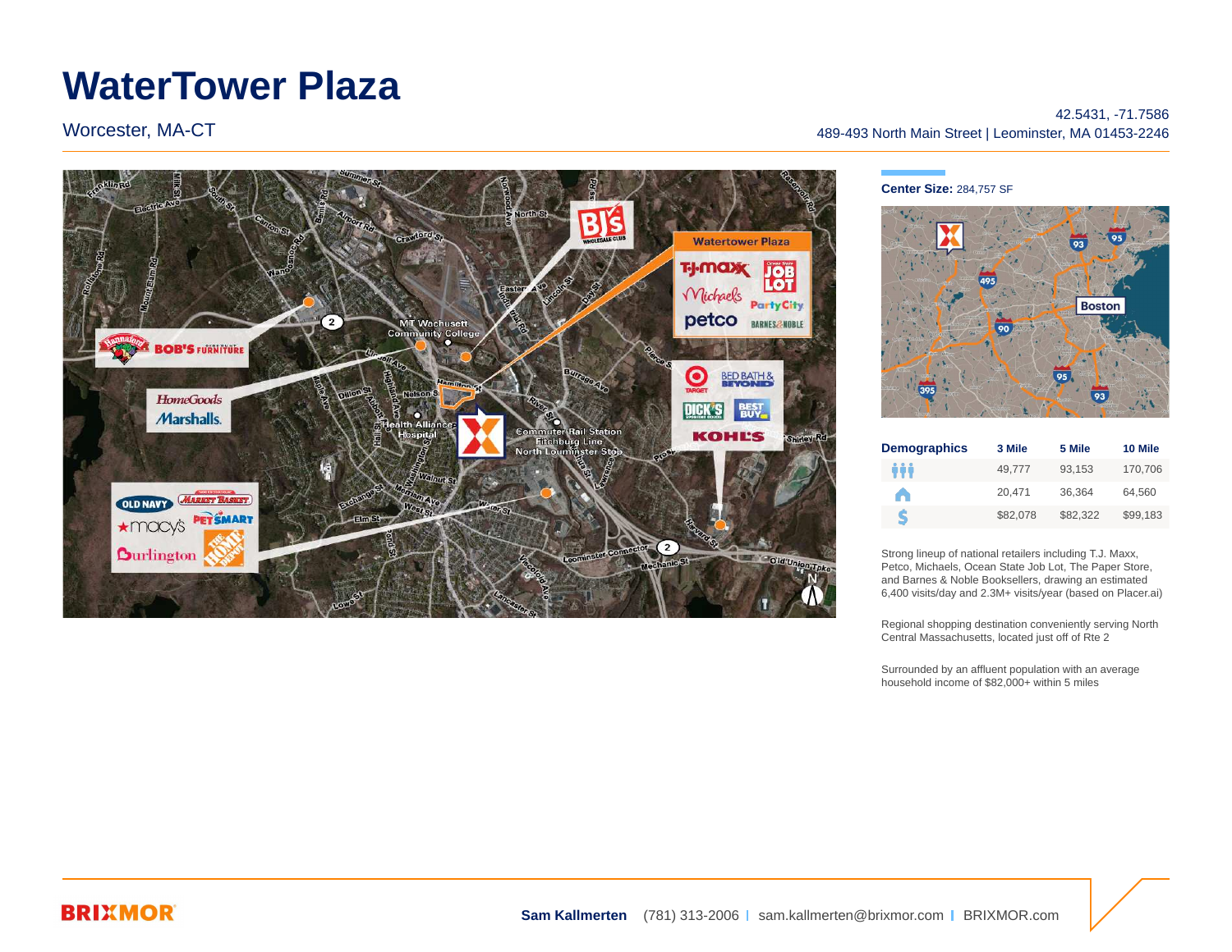# **WaterTower Plaza**

Worcester, MA-CT

#### **Watertower Plaza TJ-MOXX JOB** Michaels **Party City** petco BARNES 2-NOBLE MT Wachusett<br>Community College **BOB'S FURNITURE**  $\mathbf{\Theta}$ BED BATH & **HomeGoods** DICK'S 闘 **Marshalls**. **Imuter Rail Station**<br>Fitchburg Line **KOHL'S** Louminster Str **OLD NAVY MARKET BASKET** \*macy's PETSMART  $\overline{2}$ **Ourlington** Old Unic

42.5431, -71.7586 489-493 North Main Street | Leominster, MA 01453-2246



| <b>Demographics</b> | 3 Mile   | 5 Mile   | 10 Mile  |
|---------------------|----------|----------|----------|
| ŵŏ                  | 49.777   | 93.153   | 170,706  |
| <b>College</b>      | 20.471   | 36.364   | 64.560   |
| S                   | \$82,078 | \$82.322 | \$99,183 |

Strong lineup of national retailers including T.J. Maxx, Petco, Michaels, Ocean State Job Lot, The Paper Store, and Barnes & Noble Booksellers, drawing an estimated 6,400 visits/day and 2.3M+ visits/year (based on Placer.ai)

Regional shopping destination conveniently serving North Central Massachusetts, located just off of Rte 2

Surrounded by an affluent population with an average household income of \$82,000+ within 5 miles

### **BRIXMOR**